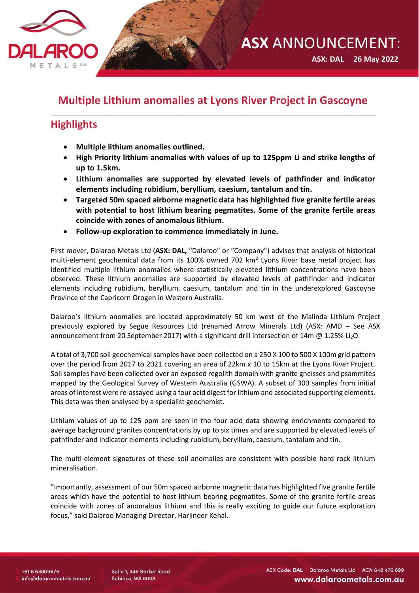

 **ASX: DAL 26 May 2022**

# **Multiple Lithium anomalies at Lyons River Project in Gascoyne** \_\_\_\_\_\_\_\_\_\_\_\_\_\_\_\_\_\_\_\_\_\_\_\_\_\_\_\_\_\_\_\_\_\_\_\_\_\_\_\_\_\_\_\_\_\_\_\_\_\_\_\_\_\_\_\_\_\_\_\_\_\_\_\_\_\_\_\_\_\_\_\_\_\_\_\_\_

# **Highlights**

- **Multiple lithium anomalies outlined.**
- **High Priority lithium anomalies with values of up to 125ppm Li and strike lengths of up to 1.5km.**
- **Lithium anomalies are supported by elevated levels of pathfinder and indicator elements including rubidium, beryllium, caesium, tantalum and tin.**
- **Targeted 50m spaced airborne magnetic data has highlighted five granite fertile areas with potential to host lithium bearing pegmatites. Some of the granite fertile areas coincide with zones of anomalous lithium.**
- **Follow-up exploration to commence immediately in June.**

First mover, Dalaroo Metals Ltd (**ASX: DAL,** "Dalaroo" or "Company") advises that analysis of historical multi-element geochemical data from its 100% owned 702 km<sup>2</sup> Lyons River base metal project has identified multiple lithium anomalies where statistically elevated lithium concentrations have been observed. These lithium anomalies are supported by elevated levels of pathfinder and indicator elements including rubidium, beryllium, caesium, tantalum and tin in the underexplored Gascoyne Province of the Capricorn Orogen in Western Australia.

Dalaroo's lithium anomalies are located approximately 50 km west of the Malinda Lithium Project previously explored by Segue Resources Ltd (renamed Arrow Minerals Ltd) (ASX: AMD – See ASX announcement from 20 September 2017) with a significant drill intersection of 14m @ 1.25% Li<sub>2</sub>O.

A total of 3,700 soil geochemical samples have been collected on a 250 X 100 to 500 X 100m grid pattern over the period from 2017 to 2021 covering an area of 22km x 10 to 15km at the Lyons River Project. Soil samples have been collected over an exposed regolith domain with granite gneisses and psammites mapped by the Geological Survey of Western Australia (GSWA). A subset of 300 samples from initial areas of interest were re-assayed using a four acid digest for lithium and associated supporting elements. This data was then analysed by a specialist geochemist.

Lithium values of up to 125 ppm are seen in the four acid data showing enrichments compared to average background granites concentrations by up to six times and are supported by elevated levels of pathfinder and indicator elements including rubidium, beryllium, caesium, tantalum and tin.

The multi-element signatures of these soil anomalies are consistent with possible hard rock lithium mineralisation.

"Importantly, assessment of our 50m spaced airborne magnetic data has highlighted five granite fertile areas which have the potential to host lithium bearing pegmatites. Some of the granite fertile areas coincide with zones of anomalous lithium and this is really exciting to guide our future exploration focus," said Dalaroo Managing Director, Harjinder Kehal.

Suite 1, 346 Barker Road Subiaco, WA 6008

ASX Code: DAL | Dalaroo Metals Ltd | ACN 648 476 699 www.dalaroometals.com.au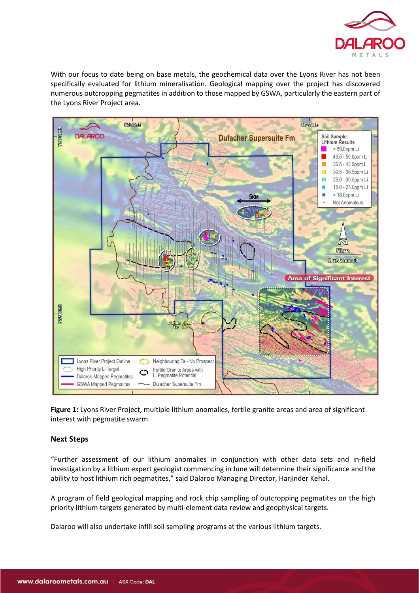

With our focus to date being on base metals, the geochemical data over the Lyons River has not been specifically evaluated for lithium mineralisation. Geological mapping over the project has discovered numerous outcropping pegmatites in addition to those mapped by GSWA, particularly the eastern part of the Lyons River Project area.



**Figure 1:** Lyons River Project, multiple lithium anomalies, fertile granite areas and area of significant interest with pegmatite swarm

## **Next Steps**

"Further assessment of our lithium anomalies in conjunction with other data sets and in-field investigation by a lithium expert geologist commencing in June will determine their significance and the ability to host lithium rich pegmatites," said Dalaroo Managing Director, Harjinder Kehal.

A program of field geological mapping and rock chip sampling of outcropping pegmatites on the high priority lithium targets generated by multi-element data review and geophysical targets.

Dalaroo will also undertake infill soil sampling programs at the various lithium targets.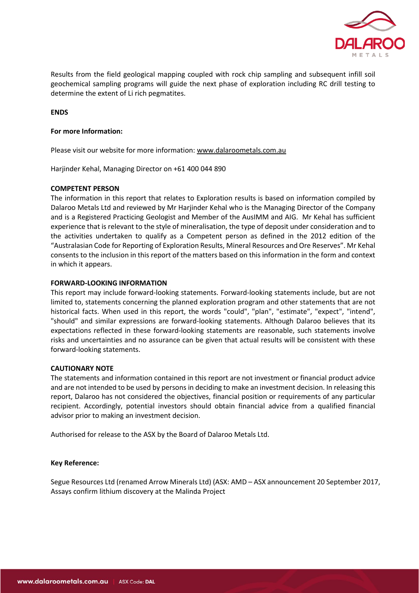

Results from the field geological mapping coupled with rock chip sampling and subsequent infill soil geochemical sampling programs will guide the next phase of exploration including RC drill testing to determine the extent of Li rich pegmatites.

### **ENDS**

#### **For more Information:**

Please visit our website for more information[: www.dalaroometals.com.au](http://www.dalaroometals.com.au/)

Harjinder Kehal, Managing Director on +61 400 044 890

#### **COMPETENT PERSON**

The information in this report that relates to Exploration results is based on information compiled by Dalaroo Metals Ltd and reviewed by Mr Harjinder Kehal who is the Managing Director of the Company and is a Registered Practicing Geologist and Member of the AusIMM and AIG. Mr Kehal has sufficient experience that is relevant to the style of mineralisation, the type of deposit under consideration and to the activities undertaken to qualify as a Competent person as defined in the 2012 edition of the "Australasian Code for Reporting of Exploration Results, Mineral Resources and Ore Reserves". Mr Kehal consents to the inclusion in this report of the matters based on this information in the form and context in which it appears.

#### **FORWARD-LOOKING INFORMATION**

This report may include forward-looking statements. Forward-looking statements include, but are not limited to, statements concerning the planned exploration program and other statements that are not historical facts. When used in this report, the words "could", "plan", "estimate", "expect", "intend", "should" and similar expressions are forward-looking statements. Although Dalaroo believes that its expectations reflected in these forward-looking statements are reasonable, such statements involve risks and uncertainties and no assurance can be given that actual results will be consistent with these forward-looking statements.

## **CAUTIONARY NOTE**

The statements and information contained in this report are not investment or financial product advice and are not intended to be used by persons in deciding to make an investment decision. In releasing this report, Dalaroo has not considered the objectives, financial position or requirements of any particular recipient. Accordingly, potential investors should obtain financial advice from a qualified financial advisor prior to making an investment decision.

Authorised for release to the ASX by the Board of Dalaroo Metals Ltd.

#### **Key Reference:**

Segue Resources Ltd (renamed Arrow Minerals Ltd) (ASX: AMD – ASX announcement 20 September 2017, Assays confirm lithium discovery at the Malinda Project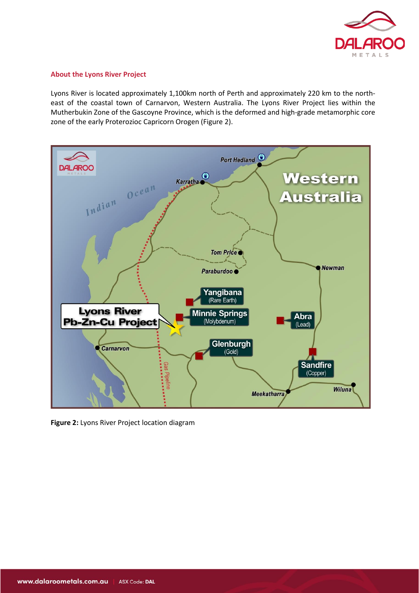

### **About the Lyons River Project**

Lyons River is located approximately 1,100km north of Perth and approximately 220 km to the northeast of the coastal town of Carnarvon, Western Australia. The Lyons River Project lies within the Mutherbukin Zone of the Gascoyne Province, which is the deformed and high-grade metamorphic core zone of the early Proterozioc Capricorn Orogen (Figure 2).



**Figure 2:** Lyons River Project location diagram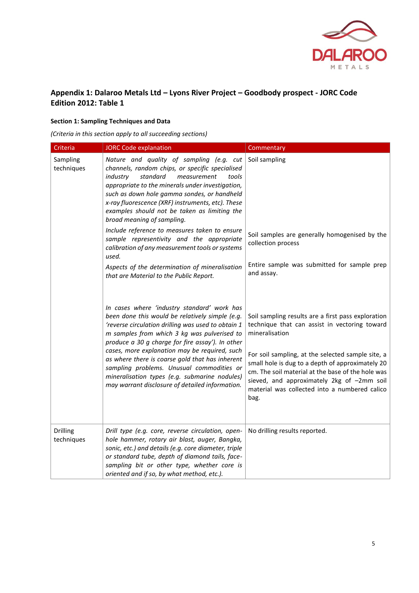

# **Appendix 1: Dalaroo Metals Ltd – Lyons River Project – Goodbody prospect - JORC Code Edition 2012: Table 1**

### **Section 1: Sampling Techniques and Data**

*(Criteria in this section apply to all succeeding sections)*

| Criteria               | <b>JORC Code explanation</b>                                                                                                                                                                                                                                                                                                                                                                                                                                                                                                                                                                                                             | Commentary                                                                                                                                                                                                                                                                                                                                                                                 |
|------------------------|------------------------------------------------------------------------------------------------------------------------------------------------------------------------------------------------------------------------------------------------------------------------------------------------------------------------------------------------------------------------------------------------------------------------------------------------------------------------------------------------------------------------------------------------------------------------------------------------------------------------------------------|--------------------------------------------------------------------------------------------------------------------------------------------------------------------------------------------------------------------------------------------------------------------------------------------------------------------------------------------------------------------------------------------|
| Sampling<br>techniques | Nature and quality of sampling (e.g. cut<br>channels, random chips, or specific specialised<br>industry<br>standard<br>measurement<br>tools<br>appropriate to the minerals under investigation,<br>such as down hole gamma sondes, or handheld<br>x-ray fluorescence (XRF) instruments, etc). These<br>examples should not be taken as limiting the<br>broad meaning of sampling.<br>Include reference to measures taken to ensure<br>sample representivity and the appropriate<br>calibration of any measurement tools or systems<br>used.<br>Aspects of the determination of mineralisation<br>that are Material to the Public Report. | Soil sampling<br>Soil samples are generally homogenised by the<br>collection process<br>Entire sample was submitted for sample prep<br>and assay.                                                                                                                                                                                                                                          |
|                        | In cases where 'industry standard' work has<br>been done this would be relatively simple (e.g.<br>'reverse circulation drilling was used to obtain 1<br>m samples from which 3 kg was pulverised to<br>produce a 30 g charge for fire assay'). In other<br>cases, more explanation may be required, such<br>as where there is coarse gold that has inherent<br>sampling problems. Unusual commodities or<br>mineralisation types (e.g. submarine nodules)<br>may warrant disclosure of detailed information.                                                                                                                             | Soil sampling results are a first pass exploration<br>technique that can assist in vectoring toward<br>mineralisation<br>For soil sampling, at the selected sample site, a<br>small hole is dug to a depth of approximately 20<br>cm. The soil material at the base of the hole was<br>sieved, and approximately 2kg of -2mm soil<br>material was collected into a numbered calico<br>bag. |
| Drilling<br>techniques | Drill type (e.g. core, reverse circulation, open-<br>hole hammer, rotary air blast, auger, Bangka,<br>sonic, etc.) and details (e.g. core diameter, triple<br>or standard tube, depth of diamond tails, face-<br>sampling bit or other type, whether core is<br>oriented and if so, by what method, etc.).                                                                                                                                                                                                                                                                                                                               | No drilling results reported.                                                                                                                                                                                                                                                                                                                                                              |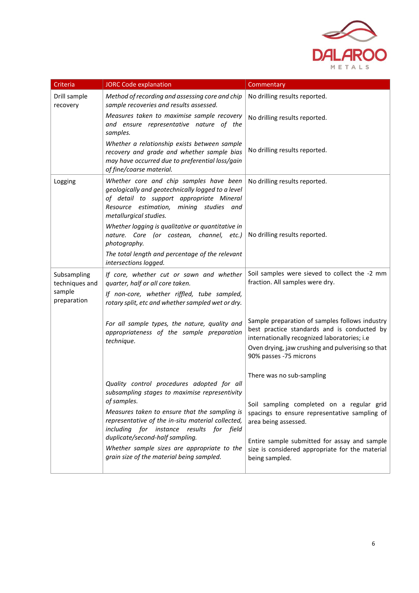

| Criteria                                               | <b>JORC Code explanation</b>                                                                                                                                                                                                                                                                 | Commentary                                                                                                                                    |
|--------------------------------------------------------|----------------------------------------------------------------------------------------------------------------------------------------------------------------------------------------------------------------------------------------------------------------------------------------------|-----------------------------------------------------------------------------------------------------------------------------------------------|
| Drill sample<br>recovery                               | Method of recording and assessing core and chip<br>sample recoveries and results assessed.                                                                                                                                                                                                   | No drilling results reported.                                                                                                                 |
|                                                        | Measures taken to maximise sample recovery<br>and ensure representative nature of the<br>samples.                                                                                                                                                                                            | No drilling results reported.                                                                                                                 |
|                                                        | Whether a relationship exists between sample<br>recovery and grade and whether sample bias<br>may have occurred due to preferential loss/gain<br>of fine/coarse material.                                                                                                                    | No drilling results reported.                                                                                                                 |
| Logging                                                | Whether core and chip samples have been<br>geologically and geotechnically logged to a level<br>of detail to support appropriate Mineral<br>Resource estimation, mining studies and<br>metallurgical studies.                                                                                | No drilling results reported.                                                                                                                 |
|                                                        | Whether logging is qualitative or quantitative in<br>nature. Core (or costean, channel, etc.)<br>photography.                                                                                                                                                                                | No drilling results reported.                                                                                                                 |
|                                                        | The total length and percentage of the relevant<br>intersections logged.                                                                                                                                                                                                                     |                                                                                                                                               |
| Subsampling<br>techniques and<br>sample<br>preparation | If core, whether cut or sawn and whether<br>quarter, half or all core taken.                                                                                                                                                                                                                 | Soil samples were sieved to collect the -2 mm<br>fraction. All samples were dry.                                                              |
|                                                        | If non-core, whether riffled, tube sampled,<br>rotary split, etc and whether sampled wet or dry.                                                                                                                                                                                             |                                                                                                                                               |
|                                                        | For all sample types, the nature, quality and<br>appropriateness of the sample preparation<br>technique.                                                                                                                                                                                     | Sample preparation of samples follows industry<br>best practice standards and is conducted by<br>internationally recognized laboratories; i.e |
|                                                        |                                                                                                                                                                                                                                                                                              | Oven drying, jaw crushing and pulverising so that<br>90% passes -75 microns                                                                   |
|                                                        |                                                                                                                                                                                                                                                                                              | There was no sub-sampling                                                                                                                     |
|                                                        | Quality control procedures adopted for all<br>subsampling stages to maximise representivity                                                                                                                                                                                                  |                                                                                                                                               |
|                                                        | of samples.<br>Measures taken to ensure that the sampling is<br>representative of the in-situ material collected,<br>including for instance results for field<br>duplicate/second-half sampling.<br>Whether sample sizes are appropriate to the<br>grain size of the material being sampled. | Soil sampling completed on a regular grid                                                                                                     |
|                                                        |                                                                                                                                                                                                                                                                                              | spacings to ensure representative sampling of<br>area being assessed.                                                                         |
|                                                        |                                                                                                                                                                                                                                                                                              | Entire sample submitted for assay and sample<br>size is considered appropriate for the material<br>being sampled.                             |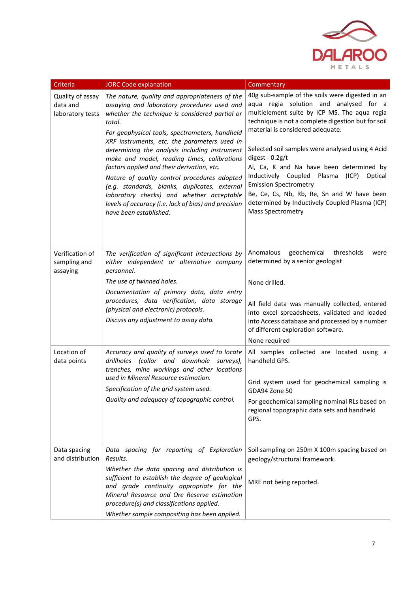

| Criteria                                         | <b>JORC Code explanation</b>                                                                                                                                                                                                                                                                                                                                                                                                                                                                               | Commentary                                                                                                                                                                                                                                                                                                                                                                                                                                 |
|--------------------------------------------------|------------------------------------------------------------------------------------------------------------------------------------------------------------------------------------------------------------------------------------------------------------------------------------------------------------------------------------------------------------------------------------------------------------------------------------------------------------------------------------------------------------|--------------------------------------------------------------------------------------------------------------------------------------------------------------------------------------------------------------------------------------------------------------------------------------------------------------------------------------------------------------------------------------------------------------------------------------------|
| Quality of assay<br>data and<br>laboratory tests | The nature, quality and appropriateness of the<br>assaying and laboratory procedures used and<br>whether the technique is considered partial or<br>total.<br>For geophysical tools, spectrometers, handheld<br>XRF instruments, etc, the parameters used in<br>determining the analysis including instrument<br>make and model, reading times, calibrations<br>factors applied and their derivation, etc.<br>Nature of quality control procedures adopted<br>(e.g. standards, blanks, duplicates, external | 40g sub-sample of the soils were digested in an<br>aqua regia solution and analysed for a<br>multielement suite by ICP MS. The aqua regia<br>technique is not a complete digestion but for soil<br>material is considered adequate.<br>Selected soil samples were analysed using 4 Acid<br>digest - $0.2g/t$<br>Al, Ca, K and Na have been determined by<br>Inductively Coupled Plasma<br>(ICP)<br>Optical<br><b>Emission Spectrometry</b> |
|                                                  | laboratory checks) and whether acceptable<br>levels of accuracy (i.e. lack of bias) and precision<br>have been established.                                                                                                                                                                                                                                                                                                                                                                                | Be, Ce, Cs, Nb, Rb, Re, Sn and W have been<br>determined by Inductively Coupled Plasma (ICP)<br><b>Mass Spectrometry</b>                                                                                                                                                                                                                                                                                                                   |
| Verification of<br>sampling and<br>assaying      | The verification of significant intersections by<br>either independent or alternative company<br>personnel.                                                                                                                                                                                                                                                                                                                                                                                                | Anomalous<br>geochemical<br>thresholds<br>were<br>determined by a senior geologist                                                                                                                                                                                                                                                                                                                                                         |
|                                                  | The use of twinned holes.                                                                                                                                                                                                                                                                                                                                                                                                                                                                                  | None drilled.                                                                                                                                                                                                                                                                                                                                                                                                                              |
|                                                  | Documentation of primary data, data entry<br>procedures, data verification, data storage<br>(physical and electronic) protocols.<br>Discuss any adjustment to assay data.                                                                                                                                                                                                                                                                                                                                  | All field data was manually collected, entered<br>into excel spreadsheets, validated and loaded<br>into Access database and processed by a number<br>of different exploration software.<br>None required                                                                                                                                                                                                                                   |
| Location of<br>data points                       | Accuracy and quality of surveys used to locate<br>drillholes (collar and downhole surveys),<br>trenches, mine workings and other locations                                                                                                                                                                                                                                                                                                                                                                 | All samples collected are located using a<br>handheld GPS.                                                                                                                                                                                                                                                                                                                                                                                 |
|                                                  | used in Mineral Resource estimation.<br>Specification of the grid system used.                                                                                                                                                                                                                                                                                                                                                                                                                             | Grid system used for geochemical sampling is<br>GDA94 Zone 50                                                                                                                                                                                                                                                                                                                                                                              |
|                                                  | Quality and adequacy of topographic control.                                                                                                                                                                                                                                                                                                                                                                                                                                                               | For geochemical sampling nominal RLs based on<br>regional topographic data sets and handheld<br>GPS.                                                                                                                                                                                                                                                                                                                                       |
| Data spacing<br>and distribution                 | Data spacing for reporting of Exploration<br>Results.                                                                                                                                                                                                                                                                                                                                                                                                                                                      | Soil sampling on 250m X 100m spacing based on<br>geology/structural framework.                                                                                                                                                                                                                                                                                                                                                             |
|                                                  | Whether the data spacing and distribution is<br>sufficient to establish the degree of geological<br>and grade continuity appropriate for the<br>Mineral Resource and Ore Reserve estimation<br>procedure(s) and classifications applied.<br>Whether sample compositing has been applied.                                                                                                                                                                                                                   | MRE not being reported.                                                                                                                                                                                                                                                                                                                                                                                                                    |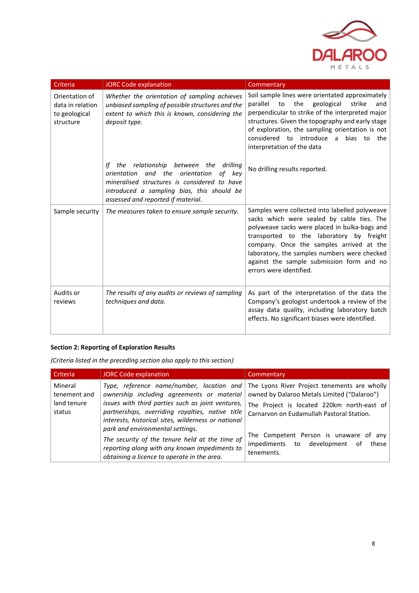

| Criteria                                                         | <b>JORC Code explanation</b>                                                                                                                                                                                                             | Commentary                                                                                                                                                                                                                                                                                                                                                    |
|------------------------------------------------------------------|------------------------------------------------------------------------------------------------------------------------------------------------------------------------------------------------------------------------------------------|---------------------------------------------------------------------------------------------------------------------------------------------------------------------------------------------------------------------------------------------------------------------------------------------------------------------------------------------------------------|
| Orientation of<br>data in relation<br>to geological<br>structure | Whether the orientation of sampling achieves<br>unbiased sampling of possible structures and the<br>extent to which this is known, considering the<br>deposit type.                                                                      | Soil sample lines were orientated approximately<br>parallel to<br>geological<br>the<br>strike<br>and<br>perpendicular to strike of the interpreted major<br>structures. Given the topography and early stage<br>of exploration, the sampling orientation is not<br>considered to introduce a bias to<br>the<br>interpretation of the data                     |
|                                                                  | relationship between the<br>drilling<br>lf<br>the<br>and the<br>of key<br>orientation<br>orientation<br>mineralised structures is considered to have<br>introduced a sampling bias, this should be<br>assessed and reported if material. | No drilling results reported.                                                                                                                                                                                                                                                                                                                                 |
| Sample security                                                  | The measures taken to ensure sample security.                                                                                                                                                                                            | Samples were collected into labelled polyweave<br>sacks which were sealed by cable ties. The<br>polyweave sacks were placed in bulka-bags and<br>transported to the laboratory by freight<br>company. Once the samples arrived at the<br>laboratory, the samples numbers were checked<br>against the sample submission form and no<br>errors were identified. |
| Audits or<br>reviews                                             | The results of any audits or reviews of sampling<br>techniques and data.                                                                                                                                                                 | As part of the interpretation of the data the<br>Company's geologist undertook a review of the<br>assay data quality, including laboratory batch<br>effects. No significant biases were identified.                                                                                                                                                           |

# **Section 2: Reporting of Exploration Results**

*(Criteria listed in the preceding section also apply to this section)*

| l Criteria                                       | JORC Code explanation                                                                                                                                                                                      | Commentary                                                                                                                                                                                                                       |
|--------------------------------------------------|------------------------------------------------------------------------------------------------------------------------------------------------------------------------------------------------------------|----------------------------------------------------------------------------------------------------------------------------------------------------------------------------------------------------------------------------------|
| Mineral<br>tenement and<br>land tenure<br>status | ownership including agreements or material<br>issues with third parties such as joint ventures,<br>partnerships, overriding royalties, native title<br>interests, historical sites, wilderness or national | Type, reference name/number, location and The Lyons River Project tenements are wholly<br>owned by Dalaroo Metals Limited ("Dalaroo")<br>The Project is located 220km north-east of<br>Carnarvon on Eudamullah Pastoral Station. |
|                                                  | park and environmental settings.<br>The security of the tenure held at the time of<br>reporting along with any known impediments to<br>obtaining a licence to operate in the area.                         | The Competent Person is unaware of any<br>impediments to development of these<br>tenements.                                                                                                                                      |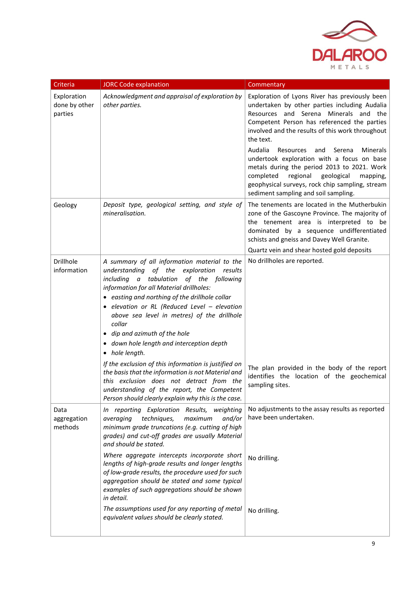

| Criteria                                | <b>JORC Code explanation</b>                                                                                                                                                                                                                                                                                                                                                                                                                                                                                                                                                                                  | Commentary                                                                                                                                                                                                                                                                                                                                                                                                                                                    |
|-----------------------------------------|---------------------------------------------------------------------------------------------------------------------------------------------------------------------------------------------------------------------------------------------------------------------------------------------------------------------------------------------------------------------------------------------------------------------------------------------------------------------------------------------------------------------------------------------------------------------------------------------------------------|---------------------------------------------------------------------------------------------------------------------------------------------------------------------------------------------------------------------------------------------------------------------------------------------------------------------------------------------------------------------------------------------------------------------------------------------------------------|
| Exploration<br>done by other<br>parties | Acknowledgment and appraisal of exploration by<br>other parties.                                                                                                                                                                                                                                                                                                                                                                                                                                                                                                                                              | Exploration of Lyons River has previously been<br>undertaken by other parties including Audalia<br>Resources and Serena Minerals and the<br>Competent Person has referenced the parties<br>involved and the results of this work throughout<br>the text.<br>Audalia<br>Resources<br>Serena<br>Minerals<br>and<br>undertook exploration with a focus on base<br>metals during the period 2013 to 2021. Work<br>completed<br>regional<br>geological<br>mapping, |
|                                         |                                                                                                                                                                                                                                                                                                                                                                                                                                                                                                                                                                                                               | geophysical surveys, rock chip sampling, stream<br>sediment sampling and soil sampling.                                                                                                                                                                                                                                                                                                                                                                       |
| Geology                                 | Deposit type, geological setting, and style of<br>mineralisation.                                                                                                                                                                                                                                                                                                                                                                                                                                                                                                                                             | The tenements are located in the Mutherbukin<br>zone of the Gascoyne Province. The majority of<br>the tenement area is interpreted to be<br>dominated by a sequence undifferentiated<br>schists and gneiss and Davey Well Granite.                                                                                                                                                                                                                            |
|                                         |                                                                                                                                                                                                                                                                                                                                                                                                                                                                                                                                                                                                               | Quartz vein and shear hosted gold deposits                                                                                                                                                                                                                                                                                                                                                                                                                    |
| Drillhole<br>information                | A summary of all information material to the<br>understanding<br>of the exploration<br>results<br>including a tabulation<br>of the following<br>information for all Material drillholes:<br>• easting and northing of the drillhole collar<br>· elevation or RL (Reduced Level - elevation<br>above sea level in metres) of the drillhole<br>collar<br>• dip and azimuth of the hole<br>· down hole length and interception depth<br>• hole length.<br>If the exclusion of this information is justified on<br>the basis that the information is not Material and<br>this exclusion does not detract from the | No drillholes are reported.<br>The plan provided in the body of the report<br>identifies the location of the geochemical<br>sampling sites.                                                                                                                                                                                                                                                                                                                   |
|                                         | understanding of the report, the Competent<br>Person should clearly explain why this is the case.                                                                                                                                                                                                                                                                                                                                                                                                                                                                                                             |                                                                                                                                                                                                                                                                                                                                                                                                                                                               |
| Data<br>aggregation<br>methods          | In reporting Exploration Results, weighting<br>and/or<br>averaging<br>techniques,<br>maximum<br>minimum grade truncations (e.g. cutting of high<br>grades) and cut-off grades are usually Material<br>and should be stated.                                                                                                                                                                                                                                                                                                                                                                                   | No adjustments to the assay results as reported<br>have been undertaken.                                                                                                                                                                                                                                                                                                                                                                                      |
|                                         | Where aggregate intercepts incorporate short<br>lengths of high-grade results and longer lengths<br>of low-grade results, the procedure used for such<br>aggregation should be stated and some typical<br>examples of such aggregations should be shown<br>in detail.                                                                                                                                                                                                                                                                                                                                         | No drilling.                                                                                                                                                                                                                                                                                                                                                                                                                                                  |
|                                         | The assumptions used for any reporting of metal<br>equivalent values should be clearly stated.                                                                                                                                                                                                                                                                                                                                                                                                                                                                                                                | No drilling.                                                                                                                                                                                                                                                                                                                                                                                                                                                  |